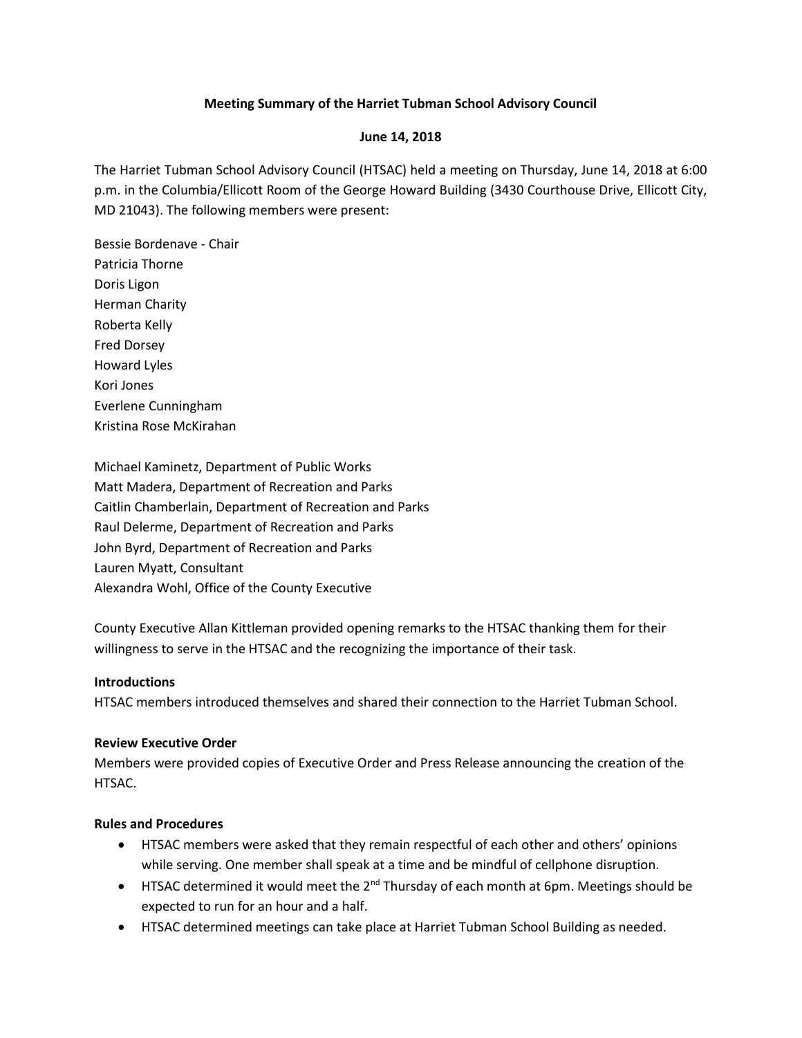# **Meeting Summary of the Harriet Tubman School Advisory Council**

## **June 14, 2018**

The Harriet Tubman School Advisory Council (HTSAC) held a meeting on Thursday, June 14, 2018 at 6:00 p.m. in the Columbia/Ellicott Room of the George Howard Building (3430 Courthouse Drive, Ellicott City, MD 21043). The following members were present:

Bessie Bordenave - Chair Patricia Thorne Doris Ligon Herman Charity Roberta Kelly Fred Dorsey Howard Lyles Kori Jones Everlene Cunningham Kristina Rose McKirahan

Michael Kaminetz, Department of Public Works Matt Madera, Department of Recreation and Parks Caitlin Chamberlain, Department of Recreation and Parks Raul Delerme, Department of Recreation and Parks John Byrd, Department of Recreation and Parks Lauren Myatt, Consultant Alexandra Wohl, Office of the County Executive

County Executive Allan Kittleman provided opening remarks to the HTSAC thanking them for their willingness to serve in the HTSAC and the recognizing the importance of their task.

#### **Introductions**

HTSAC members introduced themselves and shared their connection to the Harriet Tubman School.

#### **Review Executive Order**

Members were provided copies of Executive Order and Press Release announcing the creation of the HTSAC.

#### **Rules and Procedures**

- HTSAC members were asked that they remain respectful of each other and others' opinions while serving. One member shall speak at a time and be mindful of cellphone disruption.
- HTSAC determined it would meet the 2<sup>nd</sup> Thursday of each month at 6pm. Meetings should be expected to run for an hour and a half.
- HTSAC determined meetings can take place at Harriet Tubman School Building as needed.